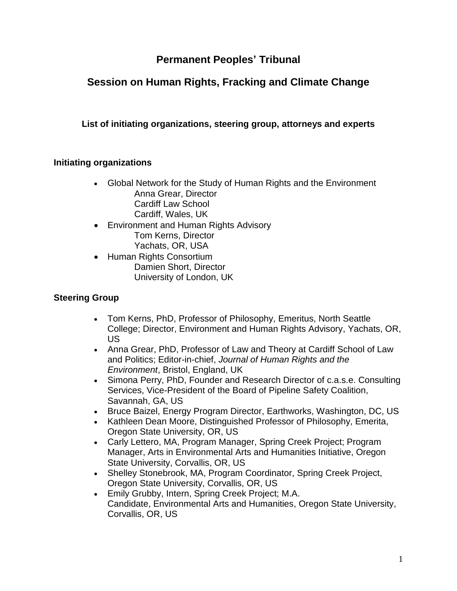# **Permanent Peoples' Tribunal**

# **Session on Human Rights, Fracking and Climate Change**

## **List of initiating organizations, steering group, attorneys and experts**

#### **Initiating organizations**

- Global Network for the Study of Human Rights and the Environment Anna Grear, Director Cardiff Law School Cardiff, Wales, UK
- Environment and Human Rights Advisory Tom Kerns, Director Yachats, OR, USA
- Human Rights Consortium Damien Short, Director University of London, UK

#### **Steering Group**

- Tom Kerns, PhD, Professor of Philosophy, Emeritus, North Seattle College; Director, Environment and Human Rights Advisory, Yachats, OR, US
- Anna Grear, PhD, Professor of Law and Theory at Cardiff School of Law and Politics; Editor-in-chief, *Journal of Human Rights and the Environment*, Bristol, England, UK
- Simona Perry, PhD, Founder and Research Director of c.a.s.e. Consulting Services, Vice-President of the Board of Pipeline Safety Coalition, Savannah, GA, US
- Bruce Baizel, Energy Program Director, Earthworks, Washington, DC, US
- Kathleen Dean Moore, Distinguished Professor of Philosophy, Emerita, Oregon State University, OR, US
- Carly Lettero, MA, Program Manager, Spring Creek Project; Program Manager, Arts in Environmental Arts and Humanities Initiative, Oregon State University, Corvallis, OR, US
- Shelley Stonebrook, MA, Program Coordinator, Spring Creek Project, Oregon State University, Corvallis, OR, US
- Emily Grubby, Intern, Spring Creek Project; M.A. Candidate, Environmental Arts and Humanities, Oregon State University, Corvallis, OR, US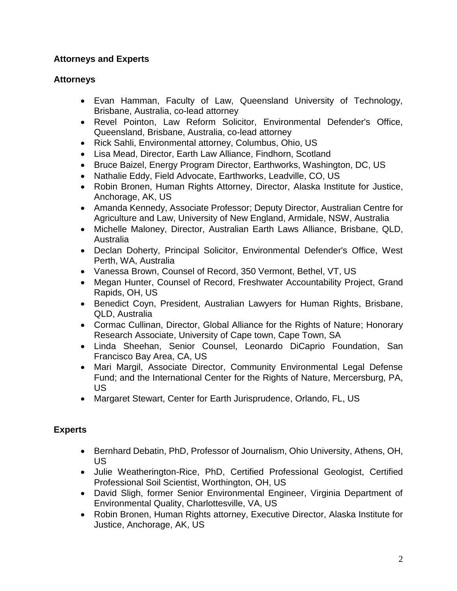## **Attorneys and Experts**

#### **Attorneys**

- Evan Hamman, Faculty of Law, Queensland University of Technology, Brisbane, Australia, co-lead attorney
- Revel Pointon, Law Reform Solicitor, Environmental Defender's Office, Queensland, Brisbane, Australia, co-lead attorney
- Rick Sahli, Environmental attorney, Columbus, Ohio, US
- Lisa Mead, Director, Earth Law Alliance, Findhorn, Scotland
- Bruce Baizel, Energy Program Director, Earthworks, Washington, DC, US
- Nathalie Eddy, Field Advocate, Earthworks, Leadville, CO, US
- Robin Bronen, Human Rights Attorney, Director, Alaska Institute for Justice, Anchorage, AK, US
- Amanda Kennedy, Associate Professor; Deputy Director, Australian Centre for Agriculture and Law, University of New England, Armidale, NSW, Australia
- Michelle Maloney, Director, Australian Earth Laws Alliance, Brisbane, QLD, Australia
- Declan Doherty, Principal Solicitor, Environmental Defender's Office, West Perth, WA, Australia
- Vanessa Brown, Counsel of Record, 350 Vermont, Bethel, VT, US
- Megan Hunter, Counsel of Record, Freshwater Accountability Project, Grand Rapids, OH, US
- Benedict Coyn, President, Australian Lawyers for Human Rights, Brisbane, QLD, Australia
- Cormac Cullinan, Director, Global Alliance for the Rights of Nature; Honorary Research Associate, University of Cape town, Cape Town, SA
- Linda Sheehan, Senior Counsel, Leonardo DiCaprio Foundation, San Francisco Bay Area, CA, US
- Mari Margil, Associate Director, Community Environmental Legal Defense Fund; and the International Center for the Rights of Nature, Mercersburg, PA, US
- Margaret Stewart, Center for Earth Jurisprudence, Orlando, FL, US

# **Experts**

- Bernhard Debatin, PhD, Professor of Journalism, Ohio University, Athens, OH, US
- Julie Weatherington-Rice, PhD, Certified Professional Geologist, Certified Professional Soil Scientist, Worthington, OH, US
- David Sligh, former Senior Environmental Engineer, Virginia Department of Environmental Quality, Charlottesville, VA, US
- Robin Bronen, Human Rights attorney, Executive Director, Alaska Institute for Justice, Anchorage, AK, US